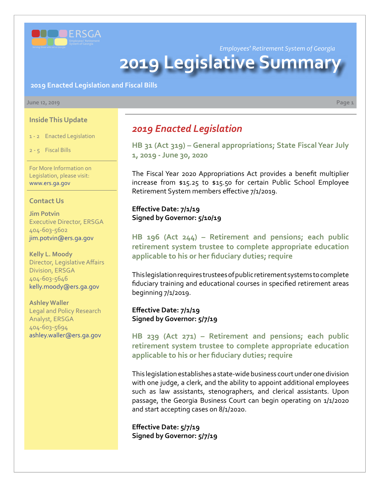

*Employees' Retirement System of Georgia*

# **2019 Legislative Summar**

**2019 Enacted Legislation and Fiscal Bills**

#### **June 12, 2019 Page 1**

#### **Inside This Update**

1 - 2 Enacted Legislation

2 - 5 Fiscal Bills

For More Information on Legislation, please visit: www.ers.ga.gov

#### **Contact Us**

**Jim Potvin** Executive Director, ERSGA 404-603-5602 jim.potvin@ers.ga.gov

**Kelly L. Moody** Director, Legislative Affairs Division, ERSGA 404-603-5646 kelly.moody@ers.ga.gov

**Ashley Waller**

Legal and Policy Research Analyst, ERSGA 404-603-5694 ashley.waller@ers.ga.gov

## *2019 Enacted Legislation*

**[HB 31 \(Act 319\)](http://www.legis.ga.gov/legislation/en-US/Display/20192020/HB/31) [–](http://www.legis.ga.gov/legislation/en-US/Display/20172018/HB/135) [General appropriations; State Fiscal Year July](http://www.legis.ga.gov/legislation/en-US/Display/20192020/HB/31)  1, 2019 - June 30, 2020**

The Fiscal Year 2020 Appropriations Act provides a benefit multiplier increase from \$15.25 to \$15.50 for certain Public School Employee Retirement System members effective 7/1/2019.

#### **Effective Date: 7/1/19 Signed by Governor: 5/10/19**

**HB 196 (Act 244) [– R](http://www.legis.ga.gov/legislation/en-US/Display/20172018/HB/684)etirement and pensions; each public [retirement system trustee to complete appropriate education](http://www.legis.ga.gov/legislation/en-US/Display/20192020/HB/196)  applicable to his or her fiduciary duties; require**

This legislation requires trustees of public retirement systems to complete fiduciary training and educational courses in specified retirement areas beginning 7/1/2019.

**Effective Date: 7/1/19 Signed by Governor: 5/7/19**

**HB 239 (Act 271) [– R](http://www.legis.ga.gov/legislation/en-US/Display/20172018/HB/684)etirement and pensions; each public [retirement system trustee to complete appropriate education](http://www.legis.ga.gov/legislation/en-US/Display/20192020/HB/239)  applicable to his or her fiduciary duties; require**

This legislation establishes a state-wide business court under one division with one judge, a clerk, and the ability to appoint additional employees such as law assistants, stenographers, and clerical assistants. Upon passage, the Georgia Business Court can begin operating on 1/1/2020 and start accepting cases on 8/1/2020.

**Effective Date: 5/7/19 Signed by Governor: 5/7/19**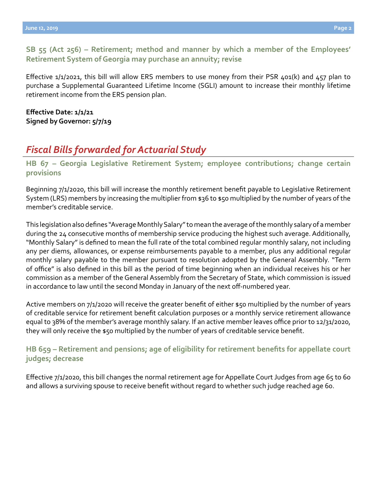**[SB 55 \(Act 256\)](http://www.legis.ga.gov/legislation/en-US/Display/20192020/SB/55) [–](http://www.legis.ga.gov/legislation/en-US/Display/20172018/HB/684) [Retirement; method and manner by which a member of the Employees'](http://www.legis.ga.gov/legislation/en-US/Display/20192020/SB/55)  Retirement System of Georgia may purchase an annuity; revise**

Effective  $1/1/2021$ , this bill will allow ERS members to use money from their PSR 401(k) and 457 plan to purchase a Supplemental Guaranteed Lifetime Income (SGLI) amount to increase their monthly lifetime retirement income from the ERS pension plan.

#### **Effective Date: 1/1/21 Signed by Governor: 5/7/19**

# *Fiscal Bills forwarded for Actuarial Study*

**[HB](http://www.legis.ga.gov/legislation/en-US/Display/20192020/HB/67) 67 – [Georgia Legislative Retirement System; employee contributions; change certain](http://www.legis.ga.gov/legislation/en-US/Display/20192020/HB/67)  provisions**

Beginning 7/1/2020, this bill will increase the monthly retirement benefit payable to Legislative Retirement System (LRS) members by increasing the multiplier from \$36 to \$50 multiplied by the number of years of the member's creditable service.

This legislation also defines "Average Monthly Salary" to mean the average of the monthly salary of a member during the 24 consecutive months of membership service producing the highest such average. Additionally, "Monthly Salary" is defined to mean the full rate of the total combined regular monthly salary, not including any per diems, allowances, or expense reimbursements payable to a member, plus any additional regular monthly salary payable to the member pursuant to resolution adopted by the General Assembly. "Term of office" is also defined in this bill as the period of time beginning when an individual receives his or her commission as a member of the General Assembly from the Secretary of State, which commission is issued in accordance to law until the second Monday in January of the next off-numbered year.

Active members on 7/1/2020 will receive the greater benefit of either \$50 multiplied by the number of years of creditable service for retirement benefit calculation purposes or a monthly service retirement allowance equal to 38% of the member's average monthly salary. If an active member leaves office prior to 12/31/2020, they will only receive the \$50 multiplied by the number of years of creditable service benefit.

## **[HB](http://www.legis.ga.gov/legislation/en-US/Display/20192020/HB/659) 659 [– Retirement and pensions; age of eligibility for retirement benefits for appellate court](http://www.legis.ga.gov/legislation/en-US/Display/20192020/HB/659)  judges; decrease**

Effective 7/1/2020, this bill changes the normal retirement age for Appellate Court Judges from age 65 to 60 and allows a surviving spouse to receive benefit without regard to whether such judge reached age 60.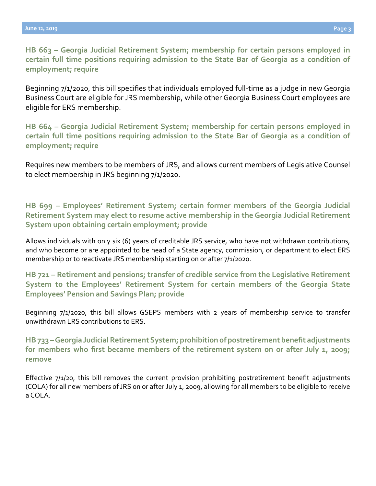**HB 663 – Georgia Judicial Retirement System; membership for certain persons employed in [certain full time positions requiring admission to the State Bar of Georgia as a condition of](http://www.legis.ga.gov/legislation/en-US/Display/20192020/HB/663)  employment; require**

Beginning 7/1/2020, this bill specifies that individuals employed full-time as a judge in new Georgia Business Court are eligible for JRS membership, while other Georgia Business Court employees are eligible for ERS membership.

**[HB](http://www.legis.ga.gov/legislation/en-US/Display/20192020/HB/664) 664 [– Georgia Judicial Retirement System; membership for certain persons employed in](http://www.legis.ga.gov/legislation/en-US/Display/20192020/HB/664)  certain full time positions requiring admission to the State Bar of Georgia as a condition of employment; require**

Requires new members to be members of JRS, and allows current members of Legislative Counsel to elect membership in JRS beginning 7/1/2020.

**[HB](http://www.legis.ga.gov/legislation/en-US/Display/20192020/HB/699) 699 – [Employees' Retirement System; certain former members of the Georgia Judicial](http://www.legis.ga.gov/legislation/en-US/Display/20192020/HB/699)  Retirement System may elect to resume active membership in the Georgia Judicial Retirement System upon obtaining certain employment; provide**

Allows individuals with only six (6) years of creditable JRS service, who have not withdrawn contributions, and who become or are appointed to be head of a State agency, commission, or department to elect ERS membership or to reactivate JRS membership starting on or after 7/1/2020.

**[HB](http://www.legis.ga.gov/legislation/en-US/Display/20192020/HB/721) 721 – [Retirement and pensions; transfer of credible service from the Legislative Retirement](http://www.legis.ga.gov/legislation/en-US/Display/20192020/HB/721)  System to the Employees' Retirement System for certain members of the Georgia State Employees' Pension and Savings Plan; provide**

Beginning 7/1/2020, this bill allows GSEPS members with 2 years of membership service to transfer unwithdrawn LRS contributions to ERS.

**[HB](http://www.legis.ga.gov/legislation/en-US/Display/20192020/HB/733) 733 – [Georgia Judicial Retirement System; prohibition of postretirement benefit adjustments](http://www.legis.ga.gov/legislation/en-US/Display/20192020/HB/733)  for members who first became members of the retirement system on or after July 1, 2009; remove**

Effective 7/1/20, this bill removes the current provision prohibiting postretirement benefit adjustments (COLA) for all new members of JRS on or after July 1, 2009, allowing for all members to be eligible to receive a COLA.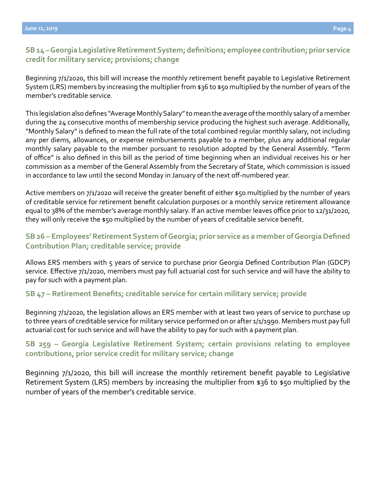## **[SB](http://www.legis.ga.gov/legislation/en-US/Display/20192020/SB/14) 14 – [Georgia Legislative Retirement System; definitions; employee contribution; prior service](http://www.legis.ga.gov/legislation/en-US/Display/20192020/SB/14)  credit for military service; provisions; change**

Beginning 7/1/2020, this bill will increase the monthly retirement benefit payable to Legislative Retirement System (LRS) members by increasing the multiplier from \$36 to \$50 multiplied by the number of years of the member's creditable service.

This legislation also defines "Average Monthly Salary" to mean the average of the monthly salary of a member during the 24 consecutive months of membership service producing the highest such average. Additionally, "Monthly Salary" is defined to mean the full rate of the total combined regular monthly salary, not including any per diems, allowances, or expense reimbursements payable to a member, plus any additional regular monthly salary payable to the member pursuant to resolution adopted by the General Assembly. "Term of office" is also defined in this bill as the period of time beginning when an individual receives his or her commission as a member of the General Assembly from the Secretary of State, which commission is issued in accordance to law until the second Monday in January of the next off-numbered year.

Active members on 7/1/2020 will receive the greater benefit of either \$50 multiplied by the number of years of creditable service for retirement benefit calculation purposes or a monthly service retirement allowance equal to 38% of the member's average monthly salary. If an active member leaves office prior to 12/31/2020, they will only receive the \$50 multiplied by the number of years of creditable service benefit.

## **[SB](http://www.legis.ga.gov/legislation/en-US/Display/20192020/SB/26) [26 –](http://www.legis.ga.gov/legislation/en-US/Display/20172018/SB/101) [Employees' Retirement System of Georgia; prior service as a member of Georgia Defined](http://www.legis.ga.gov/legislation/en-US/Display/20192020/SB/26)  Contribution Plan; creditable service; provide**

Allows ERS members with 5 years of service to purchase prior Georgia Defined Contribution Plan (GDCP) service. Effective 7/1/2020, members must pay full actuarial cost for such service and will have the ability to pay for such with a payment plan.

#### **[SB](http://www.legis.ga.gov/legislation/en-US/Display/20192020/SB/47) 47 [– Retirement Benefits; creditable service for certain military service; provide](http://www.legis.ga.gov/legislation/en-US/Display/20192020/SB/47)**

Beginning 7/1/2020, the legislation allows an ERS member with at least two years of service to purchase up to three years of creditable service for military service performed on or after 1/1/1990. Members must pay full actuarial cost for such service and will have the ability to pay for such with a payment plan.

#### **[SB](http://www.legis.ga.gov/legislation/en-US/Display/20192020/SB/259) 259 [– Georgia Legislative Retirement System; certain provisions relating to employee](http://www.legis.ga.gov/legislation/en-US/Display/20192020/SB/259)  contributions, prior service credit for military service; change**

Beginning 7/1/2020, this bill will increase the monthly retirement benefit payable to Legislative Retirement System (LRS) members by increasing the multiplier from \$36 to \$50 multiplied by the number of years of the member's creditable service.